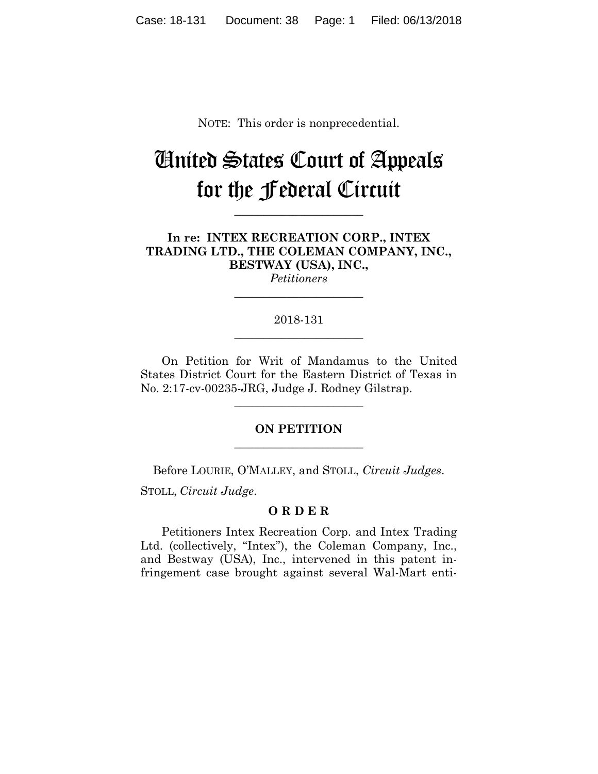NOTE: This order is nonprecedential.

# United States Court of Appeals for the Federal Circuit

**\_\_\_\_\_\_\_\_\_\_\_\_\_\_\_\_\_\_\_\_\_\_** 

**In re: INTEX RECREATION CORP., INTEX TRADING LTD., THE COLEMAN COMPANY, INC., BESTWAY (USA), INC.,**

*Petitioners* **\_\_\_\_\_\_\_\_\_\_\_\_\_\_\_\_\_\_\_\_\_\_** 

## 2018-131 **\_\_\_\_\_\_\_\_\_\_\_\_\_\_\_\_\_\_\_\_\_\_**

On Petition for Writ of Mandamus to the United States District Court for the Eastern District of Texas in No. 2:17-cv-00235-JRG, Judge J. Rodney Gilstrap.

# **ON PETITION \_\_\_\_\_\_\_\_\_\_\_\_\_\_\_\_\_\_\_\_\_\_**

**\_\_\_\_\_\_\_\_\_\_\_\_\_\_\_\_\_\_\_\_\_\_** 

Before LOURIE, O'MALLEY, and STOLL, *Circuit Judges*.

STOLL, *Circuit Judge*.

# **O R D E R**

 Petitioners Intex Recreation Corp. and Intex Trading Ltd. (collectively, "Intex"), the Coleman Company, Inc., and Bestway (USA), Inc., intervened in this patent infringement case brought against several Wal-Mart enti-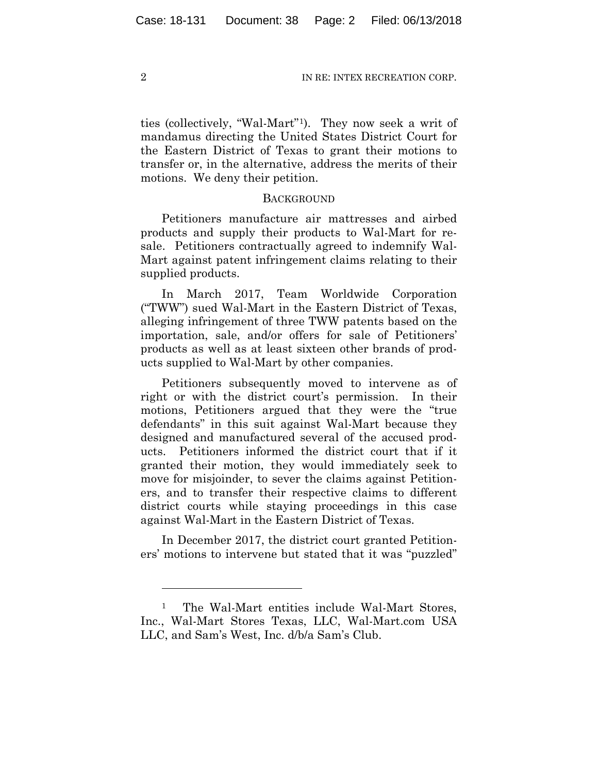ties (collectively, "Wal-Mart"1). They now seek a writ of mandamus directing the United States District Court for the Eastern District of Texas to grant their motions to transfer or, in the alternative, address the merits of their motions. We deny their petition.

## **BACKGROUND**

Petitioners manufacture air mattresses and airbed products and supply their products to Wal-Mart for resale. Petitioners contractually agreed to indemnify Wal-Mart against patent infringement claims relating to their supplied products.

In March 2017, Team Worldwide Corporation ("TWW") sued Wal-Mart in the Eastern District of Texas, alleging infringement of three TWW patents based on the importation, sale, and/or offers for sale of Petitioners' products as well as at least sixteen other brands of products supplied to Wal-Mart by other companies.

Petitioners subsequently moved to intervene as of right or with the district court's permission. In their motions, Petitioners argued that they were the "true defendants" in this suit against Wal-Mart because they designed and manufactured several of the accused products. Petitioners informed the district court that if it granted their motion, they would immediately seek to move for misjoinder, to sever the claims against Petitioners, and to transfer their respective claims to different district courts while staying proceedings in this case against Wal-Mart in the Eastern District of Texas.

In December 2017, the district court granted Petitioners' motions to intervene but stated that it was "puzzled"

1

<sup>&</sup>lt;sup>1</sup> The Wal-Mart entities include Wal-Mart Stores, Inc., Wal-Mart Stores Texas, LLC, Wal-Mart.com USA LLC, and Sam's West, Inc. d/b/a Sam's Club.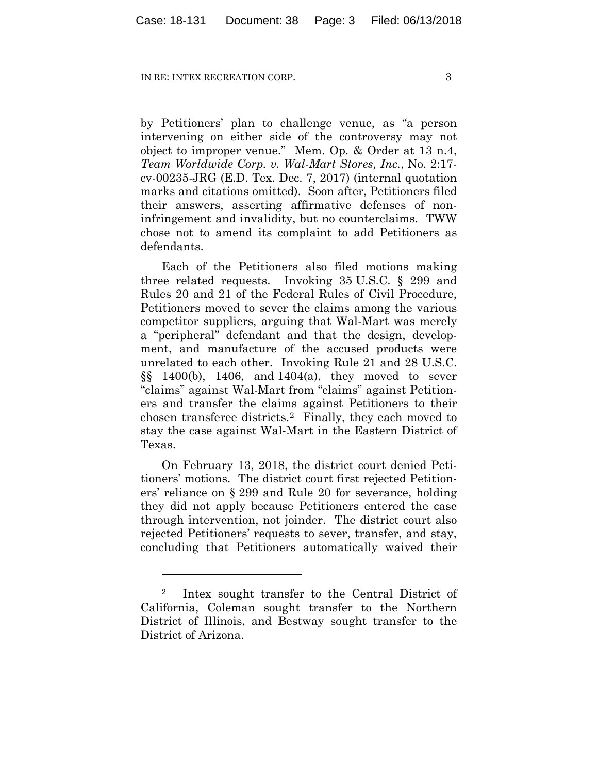by Petitioners' plan to challenge venue, as "a person intervening on either side of the controversy may not object to improper venue." Mem. Op. & Order at 13 n.4, *Team Worldwide Corp. v. Wal-Mart Stores, Inc.*, No. 2:17 cv-00235-JRG (E.D. Tex. Dec. 7, 2017) (internal quotation marks and citations omitted). Soon after, Petitioners filed their answers, asserting affirmative defenses of noninfringement and invalidity, but no counterclaims. TWW chose not to amend its complaint to add Petitioners as defendants.

Each of the Petitioners also filed motions making three related requests. Invoking 35 U.S.C. § 299 and Rules 20 and 21 of the Federal Rules of Civil Procedure, Petitioners moved to sever the claims among the various competitor suppliers, arguing that Wal-Mart was merely a "peripheral" defendant and that the design, development, and manufacture of the accused products were unrelated to each other. Invoking Rule 21 and 28 U.S.C. §§ 1400(b), 1406, and 1404(a), they moved to sever "claims" against Wal-Mart from "claims" against Petitioners and transfer the claims against Petitioners to their chosen transferee districts.2 Finally, they each moved to stay the case against Wal-Mart in the Eastern District of Texas.

On February 13, 2018, the district court denied Petitioners' motions. The district court first rejected Petitioners' reliance on § 299 and Rule 20 for severance, holding they did not apply because Petitioners entered the case through intervention, not joinder. The district court also rejected Petitioners' requests to sever, transfer, and stay, concluding that Petitioners automatically waived their

<u>.</u>

<sup>2</sup> Intex sought transfer to the Central District of California, Coleman sought transfer to the Northern District of Illinois, and Bestway sought transfer to the District of Arizona.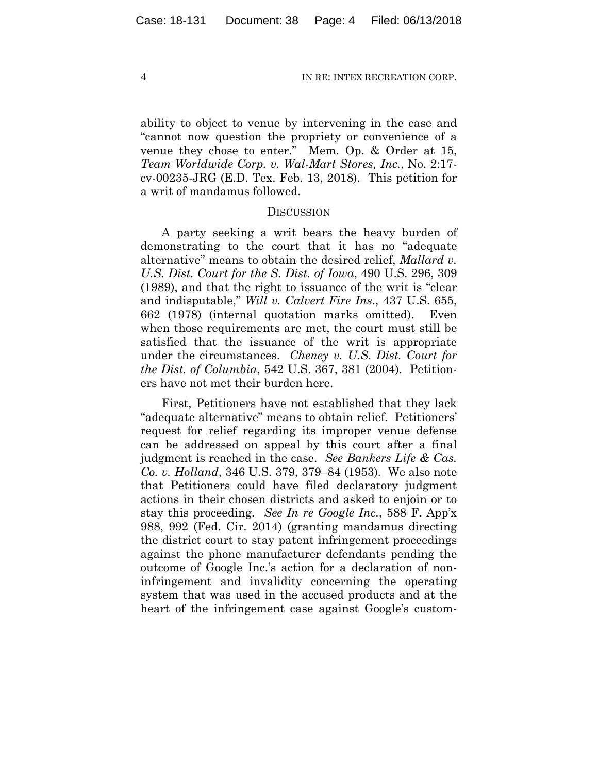ability to object to venue by intervening in the case and "cannot now question the propriety or convenience of a venue they chose to enter." Mem. Op. & Order at 15, *Team Worldwide Corp. v. Wal-Mart Stores, Inc.*, No. 2:17 cv-00235-JRG (E.D. Tex. Feb. 13, 2018). This petition for a writ of mandamus followed.

### **DISCUSSION**

A party seeking a writ bears the heavy burden of demonstrating to the court that it has no "adequate alternative" means to obtain the desired relief, *Mallard v. U.S. Dist. Court for the S. Dist. of Iowa*, 490 U.S. 296, 309 (1989), and that the right to issuance of the writ is "clear and indisputable," *Will v. Calvert Fire Ins*., 437 U.S. 655, 662 (1978) (internal quotation marks omitted). Even when those requirements are met, the court must still be satisfied that the issuance of the writ is appropriate under the circumstances. *Cheney v. U.S. Dist. Court for the Dist. of Columbia*, 542 U.S. 367, 381 (2004). Petitioners have not met their burden here.

First, Petitioners have not established that they lack "adequate alternative" means to obtain relief. Petitioners' request for relief regarding its improper venue defense can be addressed on appeal by this court after a final judgment is reached in the case. *See Bankers Life & Cas. Co. v. Holland*, 346 U.S. 379, 379–84 (1953). We also note that Petitioners could have filed declaratory judgment actions in their chosen districts and asked to enjoin or to stay this proceeding. *See In re Google Inc.*, 588 F. App'x 988, 992 (Fed. Cir. 2014) (granting mandamus directing the district court to stay patent infringement proceedings against the phone manufacturer defendants pending the outcome of Google Inc.'s action for a declaration of noninfringement and invalidity concerning the operating system that was used in the accused products and at the heart of the infringement case against Google's custom-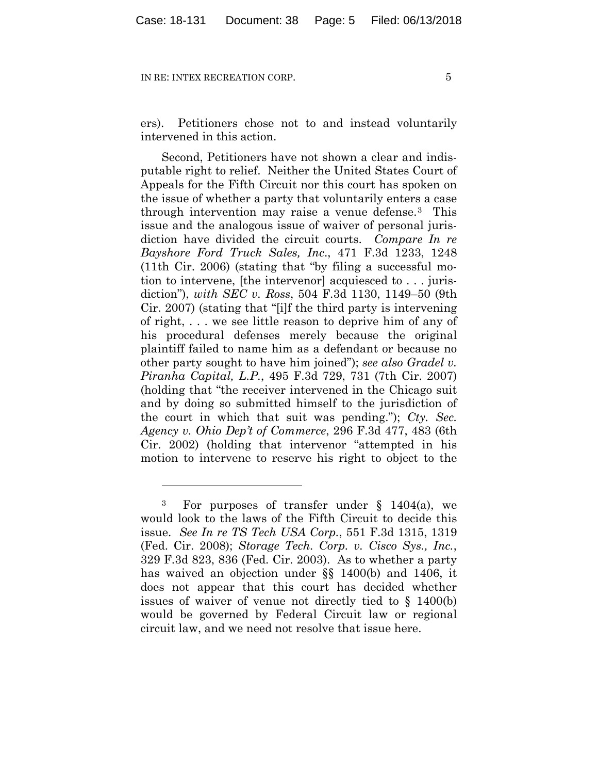1

ers). Petitioners chose not to and instead voluntarily intervened in this action.

Second, Petitioners have not shown a clear and indisputable right to relief. Neither the United States Court of Appeals for the Fifth Circuit nor this court has spoken on the issue of whether a party that voluntarily enters a case through intervention may raise a venue defense.3 This issue and the analogous issue of waiver of personal jurisdiction have divided the circuit courts. *Compare In re Bayshore Ford Truck Sales, Inc*., 471 F.3d 1233, 1248 (11th Cir. 2006) (stating that "by filing a successful motion to intervene, [the intervenor] acquiesced to . . . jurisdiction"), *with SEC v. Ross*, 504 F.3d 1130, 1149–50 (9th Cir. 2007) (stating that "[i]f the third party is intervening of right, . . . we see little reason to deprive him of any of his procedural defenses merely because the original plaintiff failed to name him as a defendant or because no other party sought to have him joined"); *see also Gradel v. Piranha Capital, L.P.*, 495 F.3d 729, 731 (7th Cir. 2007) (holding that "the receiver intervened in the Chicago suit and by doing so submitted himself to the jurisdiction of the court in which that suit was pending."); *Cty. Sec. Agency v. Ohio Dep't of Commerce*, 296 F.3d 477, 483 (6th Cir. 2002) (holding that intervenor "attempted in his motion to intervene to reserve his right to object to the

<sup>&</sup>lt;sup>3</sup> For purposes of transfer under  $\S$  1404(a), we would look to the laws of the Fifth Circuit to decide this issue. *See In re TS Tech USA Corp.*, 551 F.3d 1315, 1319 (Fed. Cir. 2008); *Storage Tech. Corp. v. Cisco Sys., Inc.*, 329 F.3d 823, 836 (Fed. Cir. 2003). As to whether a party has waived an objection under §§ 1400(b) and 1406, it does not appear that this court has decided whether issues of waiver of venue not directly tied to § 1400(b) would be governed by Federal Circuit law or regional circuit law, and we need not resolve that issue here.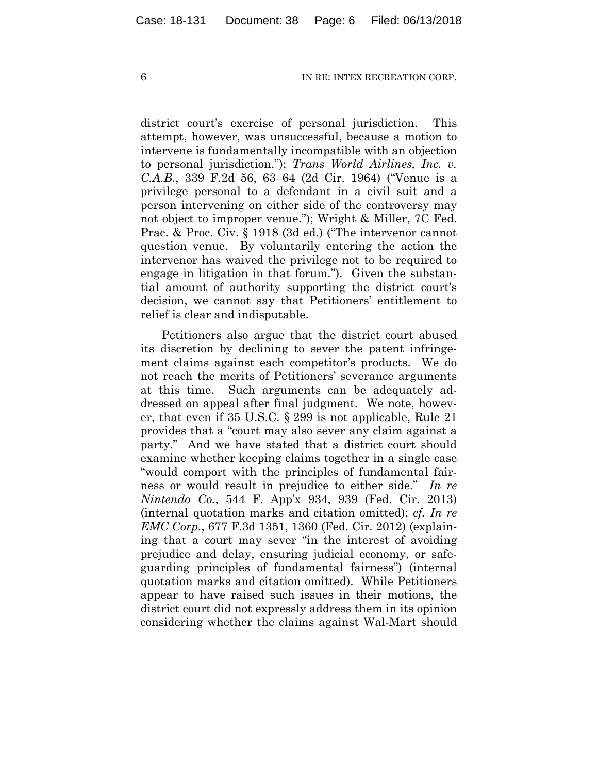district court's exercise of personal jurisdiction. This attempt, however, was unsuccessful, because a motion to intervene is fundamentally incompatible with an objection to personal jurisdiction."); *Trans World Airlines, Inc. v. C.A.B.*, 339 F.2d 56, 63–64 (2d Cir. 1964) ("Venue is a privilege personal to a defendant in a civil suit and a person intervening on either side of the controversy may not object to improper venue."); Wright & Miller, 7C Fed. Prac. & Proc. Civ. § 1918 (3d ed.) ("The intervenor cannot question venue. By voluntarily entering the action the intervenor has waived the privilege not to be required to engage in litigation in that forum."). Given the substantial amount of authority supporting the district court's decision, we cannot say that Petitioners' entitlement to relief is clear and indisputable.

Petitioners also argue that the district court abused its discretion by declining to sever the patent infringement claims against each competitor's products. We do not reach the merits of Petitioners' severance arguments at this time. Such arguments can be adequately addressed on appeal after final judgment. We note, however, that even if 35 U.S.C. § 299 is not applicable, Rule 21 provides that a "court may also sever any claim against a party." And we have stated that a district court should examine whether keeping claims together in a single case "would comport with the principles of fundamental fairness or would result in prejudice to either side." *In re Nintendo Co.*, 544 F. App'x 934, 939 (Fed. Cir. 2013) (internal quotation marks and citation omitted); *cf. In re EMC Corp.*, 677 F.3d 1351, 1360 (Fed. Cir. 2012) (explaining that a court may sever "in the interest of avoiding prejudice and delay, ensuring judicial economy, or safeguarding principles of fundamental fairness") (internal quotation marks and citation omitted). While Petitioners appear to have raised such issues in their motions, the district court did not expressly address them in its opinion considering whether the claims against Wal-Mart should